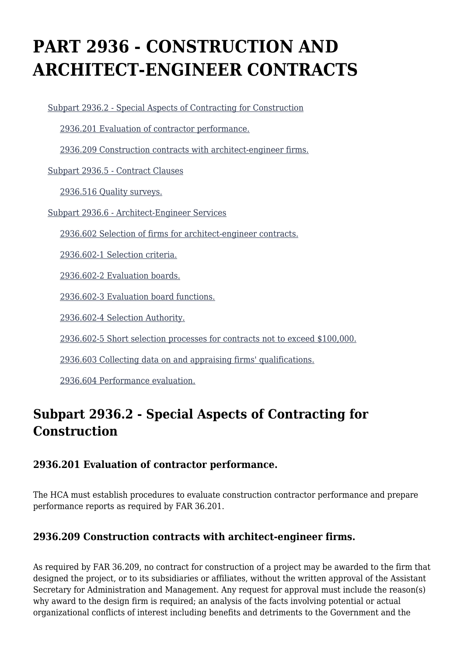# **PART 2936 - CONSTRUCTION AND ARCHITECT-ENGINEER CONTRACTS**

[Subpart 2936.2 - Special Aspects of Contracting for Construction](https://www.acquisition.gov/%5Brp:link:dolar-part-2936%5D#Subpart_2936_2_T48_7015321)

[2936.201 Evaluation of contractor performance.](https://www.acquisition.gov/%5Brp:link:dolar-part-2936%5D#Section_2936_201_T48_701532111)

[2936.209 Construction contracts with architect-engineer firms.](https://www.acquisition.gov/%5Brp:link:dolar-part-2936%5D#Section_2936_209_T48_701532112)

[Subpart 2936.5 - Contract Clauses](https://www.acquisition.gov/%5Brp:link:dolar-part-2936%5D#Subpart_2936_5_T48_7015322)

[2936.516 Quality surveys.](https://www.acquisition.gov/%5Brp:link:dolar-part-2936%5D#Section_2936_516_T48_701532211)

[Subpart 2936.6 - Architect-Engineer Services](https://www.acquisition.gov/%5Brp:link:dolar-part-2936%5D#Subpart_2936_6_T48_7015323)

[2936.602 Selection of firms for architect-engineer contracts.](https://www.acquisition.gov/%5Brp:link:dolar-part-2936%5D#Section_2936_602_T48_701532311)

[2936.602-1 Selection criteria.](https://www.acquisition.gov/%5Brp:link:dolar-part-2936%5D#Section_2936_602_1_T48_701532312)

[2936.602-2 Evaluation boards.](https://www.acquisition.gov/%5Brp:link:dolar-part-2936%5D#Section_2936_602_2_T48_701532313)

[2936.602-3 Evaluation board functions.](https://www.acquisition.gov/%5Brp:link:dolar-part-2936%5D#Section_2936_602_3_T48_701532314)

[2936.602-4 Selection Authority.](https://www.acquisition.gov/%5Brp:link:dolar-part-2936%5D#Section_2936_602_4_T48_701532315)

[2936.602-5 Short selection processes for contracts not to exceed \\$100,000.](https://www.acquisition.gov/%5Brp:link:dolar-part-2936%5D#Section_2936_602_5_T48_701532316)

[2936.603 Collecting data on and appraising firms' qualifications.](https://www.acquisition.gov/%5Brp:link:dolar-part-2936%5D#Section_2936_603_T48_701532317)

[2936.604 Performance evaluation.](https://www.acquisition.gov/%5Brp:link:dolar-part-2936%5D#Section_2936_604_T48_701532318)

# **Subpart 2936.2 - Special Aspects of Contracting for Construction**

# **2936.201 Evaluation of contractor performance.**

The HCA must establish procedures to evaluate construction contractor performance and prepare performance reports as required by FAR 36.201.

# **2936.209 Construction contracts with architect-engineer firms.**

As required by FAR 36.209, no contract for construction of a project may be awarded to the firm that designed the project, or to its subsidiaries or affiliates, without the written approval of the Assistant Secretary for Administration and Management. Any request for approval must include the reason(s) why award to the design firm is required; an analysis of the facts involving potential or actual organizational conflicts of interest including benefits and detriments to the Government and the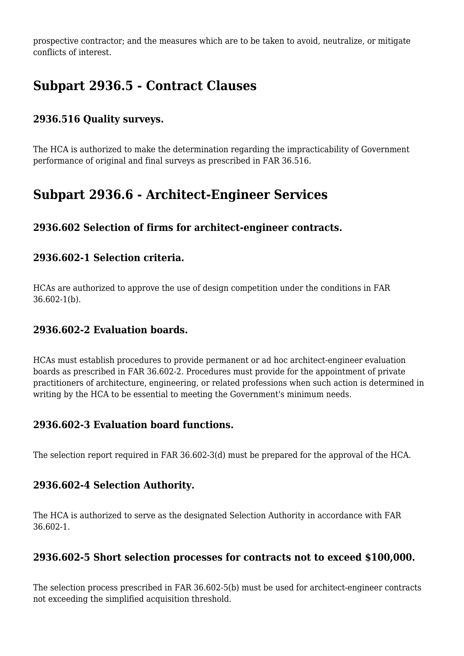prospective contractor; and the measures which are to be taken to avoid, neutralize, or mitigate conflicts of interest.

# **Subpart 2936.5 - Contract Clauses**

# **2936.516 Quality surveys.**

The HCA is authorized to make the determination regarding the impracticability of Government performance of original and final surveys as prescribed in FAR 36.516.

# **Subpart 2936.6 - Architect-Engineer Services**

# **2936.602 Selection of firms for architect-engineer contracts.**

#### **2936.602-1 Selection criteria.**

HCAs are authorized to approve the use of design competition under the conditions in FAR 36.602-1(b).

#### **2936.602-2 Evaluation boards.**

HCAs must establish procedures to provide permanent or ad hoc architect-engineer evaluation boards as prescribed in FAR 36.602-2. Procedures must provide for the appointment of private practitioners of architecture, engineering, or related professions when such action is determined in writing by the HCA to be essential to meeting the Government's minimum needs.

# **2936.602-3 Evaluation board functions.**

The selection report required in FAR 36.602-3(d) must be prepared for the approval of the HCA.

# **2936.602-4 Selection Authority.**

The HCA is authorized to serve as the designated Selection Authority in accordance with FAR 36.602-1.

# **2936.602-5 Short selection processes for contracts not to exceed \$100,000.**

The selection process prescribed in FAR 36.602-5(b) must be used for architect-engineer contracts not exceeding the simplified acquisition threshold.